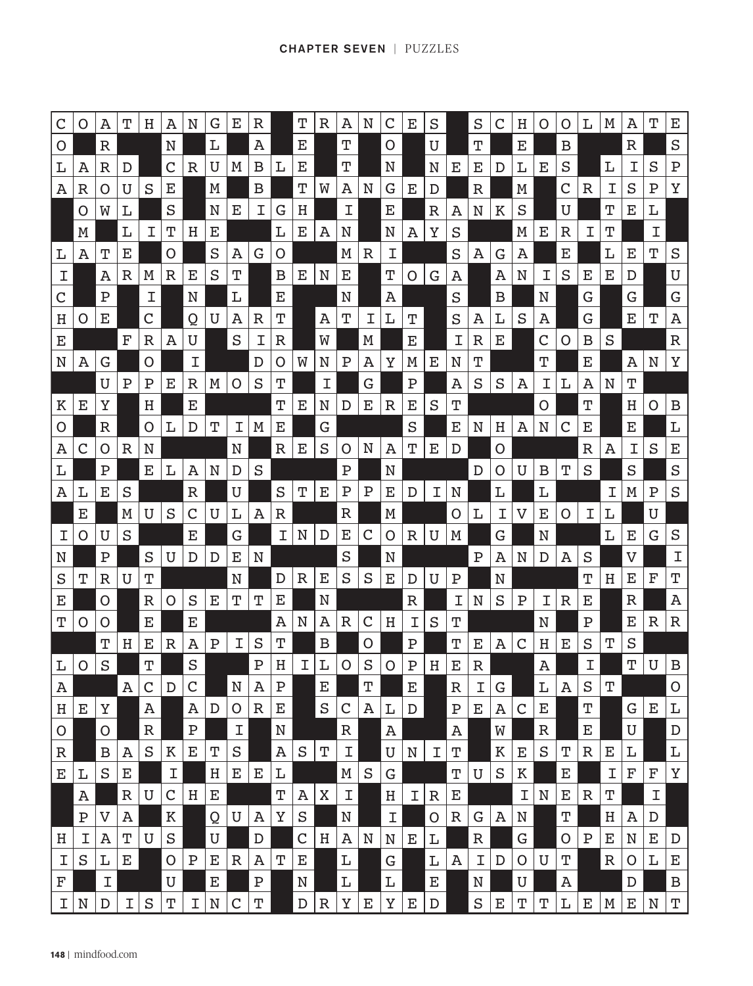| $\mathsf C$  | O         | А                     | т           | H           | А           | N           | G           | Е           | $\mathbb R$ |             | Т           | R           | A           | N       | $\mathsf C$ | Е      | S           |             | S           | C       | Н | O           | O | L           | M           | A           | Τ           | Ε            |
|--------------|-----------|-----------------------|-------------|-------------|-------------|-------------|-------------|-------------|-------------|-------------|-------------|-------------|-------------|---------|-------------|--------|-------------|-------------|-------------|---------|---|-------------|---|-------------|-------------|-------------|-------------|--------------|
| $\mathsf{O}$ |           | $\mathbb R$           |             |             | N           |             | L           |             | A           |             | Ε           |             | Т           |         | O           |        | U           |             | Т           |         | Е |             | В |             |             | $\mathbb R$ |             | S            |
| L            | А         | R                     | D           |             | C           | R           | U           | M           | в           | L           | Ε           |             | т           |         | N           |        | N           | Е           | Е           | D       | L | Е           | S |             | L           | I           | S           | Ρ            |
| A            | R         | O                     | U           | S           | Е           |             | M           |             | B           |             | т           | W           | A           | N       | G           | Е      | D           |             | R           |         | M |             | C | R           | T           | S           | Ρ           | Υ            |
|              | O         | W                     | L           |             | S           |             | N           | Е           | Ι           | G           | Η           |             | Ι           |         | Е           |        | R           | Α           | N           | К       | S |             | U |             | т           | Ε           | L           |              |
|              | M         |                       | L           | I           | т           | Η           | Е           |             |             | L           | Ε           | А           | N           |         | N           | А      | Υ           | S           |             |         | M | Е           | R | I           | Т           |             | Ι           |              |
| L            | Α         | Τ                     | Ε           |             | Ő           |             | S           | А           | G           | O           |             |             | M           | R       | I           |        |             | S           | А           | G       | А |             | Ε |             | L           | Ε           | Τ           | S            |
| I            |           | A                     | R           | M           | R           | Е           | S           | т           |             | в           | Е           | N           | Е           |         | т           | Ω      | G           | А           |             | Α       | N | Ι           | S | Е           | Ε           | D           |             | U            |
| $\mathsf C$  |           | Ρ                     |             | Ι           |             | N           |             | L           |             | Ε           |             |             | N           |         | Α           |        |             | S           |             | B       |   | N           |   | G           |             | G           |             | G            |
| Η            | Ő         | Ε                     |             | C           |             | Q           | U           | Α           | R           | Τ           |             | Α           | т           | I       | L           | Т      |             | S           | А           | L       | S | А           |   | G           |             | E           | Τ           | А            |
| Ε            |           |                       | F           | R           | А           | U           |             | S           | Ι           | R           |             | W           |             | M       |             | Е      |             | Ι           | R           | Е       |   | C           | O | В           | S           |             |             | $\mathbb R$  |
| N            | А         | G                     |             | O           |             | Ι           |             |             | D           | O           | W           | N           | Ρ           | A       | Υ           | M      | Е           | N           | т           |         |   | т           |   | Ε           |             | Α           | N           | Υ            |
|              |           | U                     | Ρ           | Ρ           | Е           | R           | Μ           | O           | S           | Т           |             | Ι           |             | G       |             | Ρ      |             | Α           | S           | S       | Α | Ι           | L | Α           | N           | Т           |             |              |
| К            | Ε         | Υ                     |             | Η           |             | Е           |             |             |             | т           | Е           | N           | D           | Е       | $\mathbb R$ | Ε      | S           | Τ           |             |         |   | Ő           |   | т           |             | Η           | O           | B            |
| O            |           | $\mathbb R$           |             | O           | L           | D           | т           | Ι           | M           | Ε           |             | G           |             |         |             | S      |             | Е           | N           | Η       | А | N           | C | Ε           |             | Е           |             | L            |
| Α            | C         | O                     | R           | N           |             |             |             | N           |             | $\mathbb R$ | Е           | S           | O           | N       | Α           | Τ      | Е           | D           |             | O       |   |             |   | R           | А           | Ι           | S           | Ε            |
| L            |           | Ρ                     |             | Е           | L           | Α           | N           | D           | S           |             |             |             | $\mathbf P$ |         | N           |        |             |             | D           | Ő       | U | В           | т | S           |             | S           |             | S            |
| Α            | Ŀ         | Е                     | S           |             |             | R           |             | U           |             | S           | т           | Е           | Ρ           | Ρ       | Е           | D      | Ι           | N           |             | L       |   | L           |   |             | T           | M           | Ρ           | S            |
|              | Е         |                       | M           | U           | S           | C           | U           | L           | Α           | R           |             |             | R           |         | M           |        |             | O           | L           | Ι       | V | Е           | O | I           | L           |             | U           |              |
| I            | O         | U                     | S           |             |             | Е           |             | G           |             | I           | N           | D           | Ε           | С       | O           | R      | U           | M           |             | G       |   | N           |   |             | L           | Ε           | G           | $\rm S$      |
| N            |           | $\mathbf P$           |             | S           | U           | D           | D           | Е           | N           |             |             |             | S           |         | N           |        |             |             | $\mathbf P$ | Α       | N | D           | А | S           |             | V           |             | I            |
| S            | т         | $\mathbb R$           | U           | Τ           |             |             |             | N           |             | D           | $\mathbb R$ | Е           | S           | S       | Е           | D      | U           | $\mathbf P$ |             | N       |   |             |   | т           | Η           | Е           | F           | Т            |
| E            |           | O                     |             | R           | O           | S           | Е           | т           | т           | Ε           |             | N           |             |         |             | R      |             | I           | N           | S       | Ρ | Ι           | R | Ε           |             | $\mathbb R$ |             | Α            |
| T            | Ő         | Ő                     |             | Е           |             | Е           |             |             |             | A           | N           | Α           | R           | C       | Η           | I      | S           | т           |             |         |   | N           |   | $\mathbf P$ |             | Е           | R           | R            |
|              |           | т<br>S                | Η           | Е<br>Т      | R           | A<br>S      | Ρ           | Ι           | S<br>Ρ      | т<br>н      |             | в<br>L      | O           | Ő<br>S  | O           | Ρ<br>Ρ |             | Т<br>Ε      | Е           | Α       | C | Η           | Е | S<br>Ι      | т           | S<br>т      | U           | B            |
| L<br>Α       | O         |                       | Α           | C           | $\mathbf D$ | $\mathsf C$ |             | N           | Α           | $\mathbf P$ |             | E           |             | Т       |             | Е      | Η           | $\mathbb R$ | R<br>Ι      | G       |   | Α<br>L      | Α | S           | $\mathbf T$ |             |             | 0            |
| Η            | Е         | Υ                     |             | Α           |             | Α           | D           | O           | $\mathbb R$ | Е           |             | $\mathbf S$ | $\mathsf C$ | Α       | L           | D      |             | ${\bf P}$   | Е           | Α       | C | Е           |   | Т           |             | G           | Е           | L            |
| $\mathsf O$  |           | O                     |             | $\mathbb R$ |             | ${\bf P}$   |             | I           |             | N           |             |             | $\mathbb R$ |         | Α           |        |             | Α           |             | W       |   | $\mathbb R$ |   | $\mathbf E$ |             | U           |             | $\mathbf D$  |
| $\mathbb R$  |           | $\mathbf B$           | Α           | S           | К           | E           | T           | S           |             | Α           | $\rm S$     | $\mathbf T$ | $\mathbf I$ |         | $\mathbf U$ | N      | I           | T           |             | $\rm K$ | Ε | $\rm S$     | Τ | $\mathbb R$ | Ε           | L           |             | $\mathbb L$  |
| Е            | L         | S                     | Е           |             | I           |             | Η           | Е           | Е           | L           |             |             | М           | $\rm S$ | G           |        |             | $\mathbf T$ | U           | S       | К |             | E |             | I           | F           | F           | Υ            |
|              | Α         |                       | $\mathbb R$ | U           | C           | Η           | Ε           |             |             | Т           | Α           | Χ           | I           |         | H           | I      | $\mathbb R$ | Е           |             |         | I | N           | Е | $\mathbb R$ | Т           |             | I           |              |
|              | ${\bf P}$ | $\boldsymbol{\nabla}$ | Α           |             | Κ           |             | Q           | U           | Α           | Υ           | $\rm S$     |             | $\mathbf N$ |         | I           |        | O           | $\mathbb R$ | G           | Α       | N |             | Т |             | $\rm H$     | Α           | $\mathbb D$ |              |
| Η            | Ι         | Α                     | T           | $\mathbf U$ | $\rm S$     |             | U           |             | D           |             | $\mathsf C$ | Η           | Α           | N       | N           | Е      | L           |             | $\mathbb R$ |         | G |             | O | ${\bf P}$   | Е           | N           | Е           | D            |
| Ι            | S         | L                     | Е           |             | O           | ${\bf P}$   | Е           | R           | Α           | Т           | Е           |             | L           |         | G           |        | L           | Α           | Ι           | D       | O | U           | Т |             | $\mathbb R$ | O           | L           | Ε            |
| F            |           | $\mathbf I$           |             |             | U           |             | Е           |             | ${\bf P}$   |             | N           |             | L           |         | L           |        | E           |             | N           |         | U |             | Α |             |             | D           |             | $\, {\bf B}$ |
| $\mathbf I$  | N         | $\mathbf D$           | I           | S           | Т           | I           | $\mathbf N$ | $\mathsf C$ | T           |             | $\mathbb D$ | $\mathbb R$ | Υ           | E       | Υ           | E      | D           |             | $\rm S$     | E       | T | т           | L | E           | M           | E           | N           | Т            |